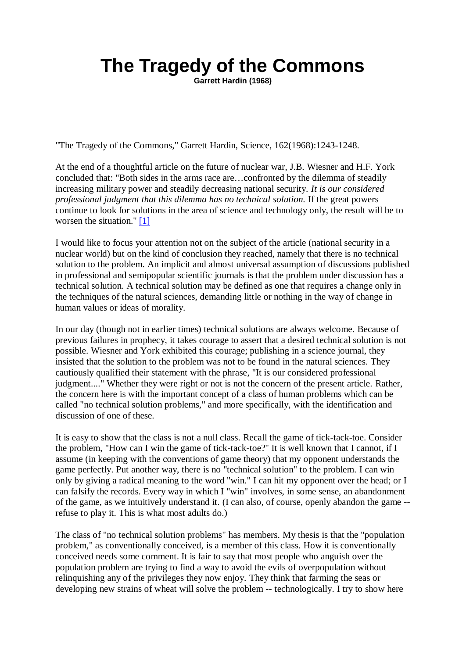# **The Tragedy of the Commons**

**Garrett Hardin (1968)**

"The Tragedy of the Commons," Garrett Hardin, Science, 162(1968):1243-1248.

At the end of a thoughtful article on the future of nuclear war, J.B. Wiesner and H.F. York concluded that: "Both sides in the arms race are…confronted by the dilemma of steadily increasing military power and steadily decreasing national security. *It is our considered professional judgment that this dilemma has no technical solution.* If the great powers continue to look for solutions in the area of science and technology only, the result will be to worsen the situation." [1]

I would like to focus your attention not on the subject of the article (national security in a nuclear world) but on the kind of conclusion they reached, namely that there is no technical solution to the problem. An implicit and almost universal assumption of discussions published in professional and semipopular scientific journals is that the problem under discussion has a technical solution. A technical solution may be defined as one that requires a change only in the techniques of the natural sciences, demanding little or nothing in the way of change in human values or ideas of morality.

In our day (though not in earlier times) technical solutions are always welcome. Because of previous failures in prophecy, it takes courage to assert that a desired technical solution is not possible. Wiesner and York exhibited this courage; publishing in a science journal, they insisted that the solution to the problem was not to be found in the natural sciences. They cautiously qualified their statement with the phrase, "It is our considered professional judgment...." Whether they were right or not is not the concern of the present article. Rather, the concern here is with the important concept of a class of human problems which can be called "no technical solution problems," and more specifically, with the identification and discussion of one of these.

It is easy to show that the class is not a null class. Recall the game of tick-tack-toe. Consider the problem, "How can I win the game of tick-tack-toe?" It is well known that I cannot, if I assume (in keeping with the conventions of game theory) that my opponent understands the game perfectly. Put another way, there is no "technical solution" to the problem. I can win only by giving a radical meaning to the word "win." I can hit my opponent over the head; or I can falsify the records. Every way in which I "win" involves, in some sense, an abandonment of the game, as we intuitively understand it. (I can also, of course, openly abandon the game - refuse to play it. This is what most adults do.)

The class of "no technical solution problems" has members. My thesis is that the "population problem," as conventionally conceived, is a member of this class. How it is conventionally conceived needs some comment. It is fair to say that most people who anguish over the population problem are trying to find a way to avoid the evils of overpopulation without relinquishing any of the privileges they now enjoy. They think that farming the seas or developing new strains of wheat will solve the problem -- technologically. I try to show here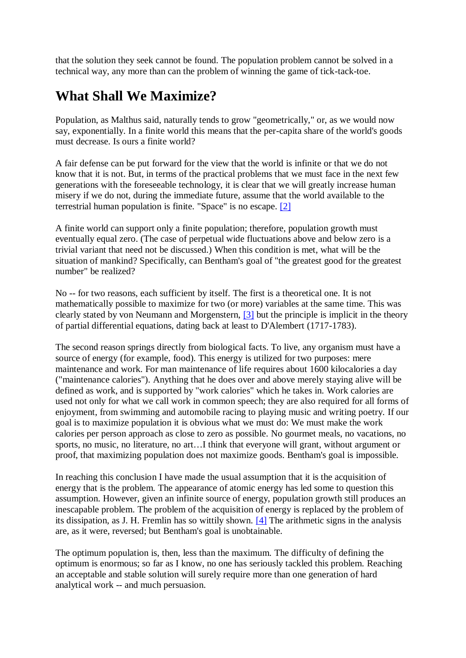that the solution they seek cannot be found. The population problem cannot be solved in a technical way, any more than can the problem of winning the game of tick-tack-toe.

## **What Shall We Maximize?**

Population, as Malthus said, naturally tends to grow "geometrically," or, as we would now say, exponentially. In a finite world this means that the per-capita share of the world's goods must decrease. Is ours a finite world?

A fair defense can be put forward for the view that the world is infinite or that we do not know that it is not. But, in terms of the practical problems that we must face in the next few generations with the foreseeable technology, it is clear that we will greatly increase human misery if we do not, during the immediate future, assume that the world available to the terrestrial human population is finite. "Space" is no escape. [2]

A finite world can support only a finite population; therefore, population growth must eventually equal zero. (The case of perpetual wide fluctuations above and below zero is a trivial variant that need not be discussed.) When this condition is met, what will be the situation of mankind? Specifically, can Bentham's goal of "the greatest good for the greatest number" be realized?

No -- for two reasons, each sufficient by itself. The first is a theoretical one. It is not mathematically possible to maximize for two (or more) variables at the same time. This was clearly stated by von Neumann and Morgenstern, [3] but the principle is implicit in the theory of partial differential equations, dating back at least to D'Alembert (1717-1783).

The second reason springs directly from biological facts. To live, any organism must have a source of energy (for example, food). This energy is utilized for two purposes: mere maintenance and work. For man maintenance of life requires about 1600 kilocalories a day ("maintenance calories"). Anything that he does over and above merely staying alive will be defined as work, and is supported by "work calories" which he takes in. Work calories are used not only for what we call work in common speech; they are also required for all forms of enjoyment, from swimming and automobile racing to playing music and writing poetry. If our goal is to maximize population it is obvious what we must do: We must make the work calories per person approach as close to zero as possible. No gourmet meals, no vacations, no sports, no music, no literature, no art…I think that everyone will grant, without argument or proof, that maximizing population does not maximize goods. Bentham's goal is impossible.

In reaching this conclusion I have made the usual assumption that it is the acquisition of energy that is the problem. The appearance of atomic energy has led some to question this assumption. However, given an infinite source of energy, population growth still produces an inescapable problem. The problem of the acquisition of energy is replaced by the problem of its dissipation, as J. H. Fremlin has so wittily shown. [4] The arithmetic signs in the analysis are, as it were, reversed; but Bentham's goal is unobtainable.

The optimum population is, then, less than the maximum. The difficulty of defining the optimum is enormous; so far as I know, no one has seriously tackled this problem. Reaching an acceptable and stable solution will surely require more than one generation of hard analytical work -- and much persuasion.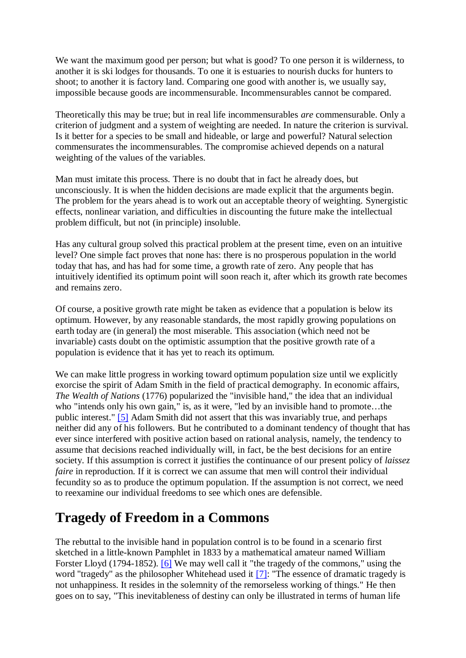We want the maximum good per person; but what is good? To one person it is wilderness, to another it is ski lodges for thousands. To one it is estuaries to nourish ducks for hunters to shoot; to another it is factory land. Comparing one good with another is, we usually say, impossible because goods are incommensurable. Incommensurables cannot be compared.

Theoretically this may be true; but in real life incommensurables *are* commensurable. Only a criterion of judgment and a system of weighting are needed. In nature the criterion is survival. Is it better for a species to be small and hideable, or large and powerful? Natural selection commensurates the incommensurables. The compromise achieved depends on a natural weighting of the values of the variables.

Man must imitate this process. There is no doubt that in fact he already does, but unconsciously. It is when the hidden decisions are made explicit that the arguments begin. The problem for the years ahead is to work out an acceptable theory of weighting. Synergistic effects, nonlinear variation, and difficulties in discounting the future make the intellectual problem difficult, but not (in principle) insoluble.

Has any cultural group solved this practical problem at the present time, even on an intuitive level? One simple fact proves that none has: there is no prosperous population in the world today that has, and has had for some time, a growth rate of zero. Any people that has intuitively identified its optimum point will soon reach it, after which its growth rate becomes and remains zero.

Of course, a positive growth rate might be taken as evidence that a population is below its optimum. However, by any reasonable standards, the most rapidly growing populations on earth today are (in general) the most miserable. This association (which need not be invariable) casts doubt on the optimistic assumption that the positive growth rate of a population is evidence that it has yet to reach its optimum.

We can make little progress in working toward optimum population size until we explicitly exorcise the spirit of Adam Smith in the field of practical demography. In economic affairs, *The Wealth of Nations* (1776) popularized the "invisible hand," the idea that an individual who "intends only his own gain," is, as it were, "led by an invisible hand to promote…the public interest." [5] Adam Smith did not assert that this was invariably true, and perhaps neither did any of his followers. But he contributed to a dominant tendency of thought that has ever since interfered with positive action based on rational analysis, namely, the tendency to assume that decisions reached individually will, in fact, be the best decisions for an entire society. If this assumption is correct it justifies the continuance of our present policy of *laissez faire* in reproduction. If it is correct we can assume that men will control their individual fecundity so as to produce the optimum population. If the assumption is not correct, we need to reexamine our individual freedoms to see which ones are defensible.

# **Tragedy of Freedom in a Commons**

The rebuttal to the invisible hand in population control is to be found in a scenario first sketched in a little-known Pamphlet in 1833 by a mathematical amateur named William Forster Lloyd (1794-1852). [6] We may well call it "the tragedy of the commons," using the word "tragedy" as the philosopher Whitehead used it [7]: "The essence of dramatic tragedy is not unhappiness. It resides in the solemnity of the remorseless working of things." He then goes on to say, "This inevitableness of destiny can only be illustrated in terms of human life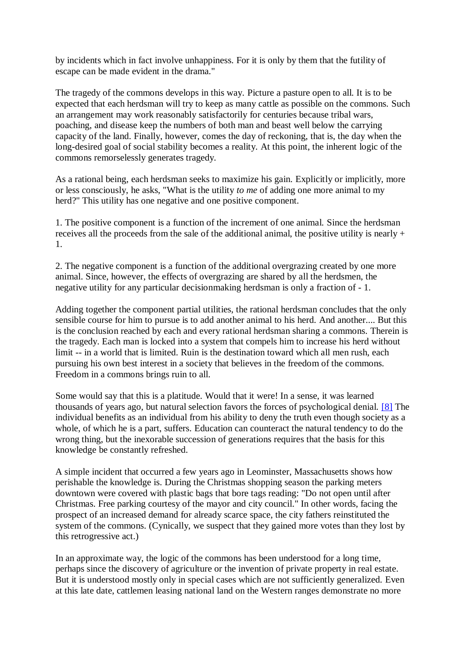by incidents which in fact involve unhappiness. For it is only by them that the futility of escape can be made evident in the drama."

The tragedy of the commons develops in this way. Picture a pasture open to all. It is to be expected that each herdsman will try to keep as many cattle as possible on the commons. Such an arrangement may work reasonably satisfactorily for centuries because tribal wars, poaching, and disease keep the numbers of both man and beast well below the carrying capacity of the land. Finally, however, comes the day of reckoning, that is, the day when the long-desired goal of social stability becomes a reality. At this point, the inherent logic of the commons remorselessly generates tragedy.

As a rational being, each herdsman seeks to maximize his gain. Explicitly or implicitly, more or less consciously, he asks, "What is the utility *to me* of adding one more animal to my herd?" This utility has one negative and one positive component.

1. The positive component is a function of the increment of one animal. Since the herdsman receives all the proceeds from the sale of the additional animal, the positive utility is nearly  $+$ 1.

2. The negative component is a function of the additional overgrazing created by one more animal. Since, however, the effects of overgrazing are shared by all the herdsmen, the negative utility for any particular decisionmaking herdsman is only a fraction of - 1.

Adding together the component partial utilities, the rational herdsman concludes that the only sensible course for him to pursue is to add another animal to his herd. And another.... But this is the conclusion reached by each and every rational herdsman sharing a commons. Therein is the tragedy. Each man is locked into a system that compels him to increase his herd without limit -- in a world that is limited. Ruin is the destination toward which all men rush, each pursuing his own best interest in a society that believes in the freedom of the commons. Freedom in a commons brings ruin to all.

Some would say that this is a platitude. Would that it were! In a sense, it was learned thousands of years ago, but natural selection favors the forces of psychological denial. [8] The individual benefits as an individual from his ability to deny the truth even though society as a whole, of which he is a part, suffers. Education can counteract the natural tendency to do the wrong thing, but the inexorable succession of generations requires that the basis for this knowledge be constantly refreshed.

A simple incident that occurred a few years ago in Leominster, Massachusetts shows how perishable the knowledge is. During the Christmas shopping season the parking meters downtown were covered with plastic bags that bore tags reading: "Do not open until after Christmas. Free parking courtesy of the mayor and city council." In other words, facing the prospect of an increased demand for already scarce space, the city fathers reinstituted the system of the commons. (Cynically, we suspect that they gained more votes than they lost by this retrogressive act.)

In an approximate way, the logic of the commons has been understood for a long time, perhaps since the discovery of agriculture or the invention of private property in real estate. But it is understood mostly only in special cases which are not sufficiently generalized. Even at this late date, cattlemen leasing national land on the Western ranges demonstrate no more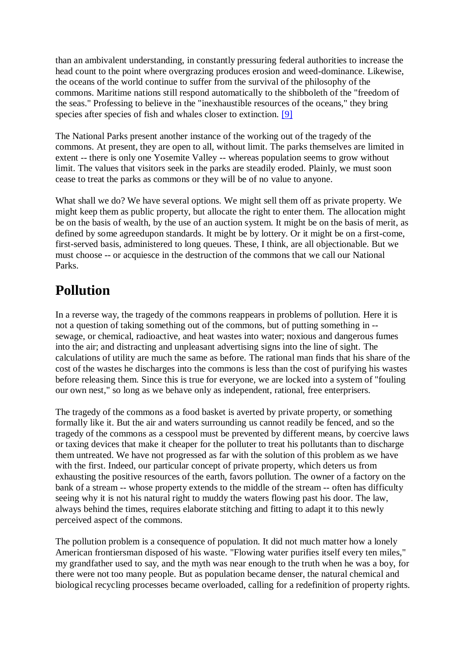than an ambivalent understanding, in constantly pressuring federal authorities to increase the head count to the point where overgrazing produces erosion and weed-dominance. Likewise, the oceans of the world continue to suffer from the survival of the philosophy of the commons. Maritime nations still respond automatically to the shibboleth of the "freedom of the seas." Professing to believe in the "inexhaustible resources of the oceans," they bring species after species of fish and whales closer to extinction. [9]

The National Parks present another instance of the working out of the tragedy of the commons. At present, they are open to all, without limit. The parks themselves are limited in extent -- there is only one Yosemite Valley -- whereas population seems to grow without limit. The values that visitors seek in the parks are steadily eroded. Plainly, we must soon cease to treat the parks as commons or they will be of no value to anyone.

What shall we do? We have several options. We might sell them off as private property. We might keep them as public property, but allocate the right to enter them. The allocation might be on the basis of wealth, by the use of an auction system. It might be on the basis of merit, as defined by some agreedupon standards. It might be by lottery. Or it might be on a first-come, first-served basis, administered to long queues. These, I think, are all objectionable. But we must choose -- or acquiesce in the destruction of the commons that we call our National Parks.

# **Pollution**

In a reverse way, the tragedy of the commons reappears in problems of pollution. Here it is not a question of taking something out of the commons, but of putting something in - sewage, or chemical, radioactive, and heat wastes into water; noxious and dangerous fumes into the air; and distracting and unpleasant advertising signs into the line of sight. The calculations of utility are much the same as before. The rational man finds that his share of the cost of the wastes he discharges into the commons is less than the cost of purifying his wastes before releasing them. Since this is true for everyone, we are locked into a system of "fouling our own nest," so long as we behave only as independent, rational, free enterprisers.

The tragedy of the commons as a food basket is averted by private property, or something formally like it. But the air and waters surrounding us cannot readily be fenced, and so the tragedy of the commons as a cesspool must be prevented by different means, by coercive laws or taxing devices that make it cheaper for the polluter to treat his pollutants than to discharge them untreated. We have not progressed as far with the solution of this problem as we have with the first. Indeed, our particular concept of private property, which deters us from exhausting the positive resources of the earth, favors pollution. The owner of a factory on the bank of a stream -- whose property extends to the middle of the stream -- often has difficulty seeing why it is not his natural right to muddy the waters flowing past his door. The law, always behind the times, requires elaborate stitching and fitting to adapt it to this newly perceived aspect of the commons.

The pollution problem is a consequence of population. It did not much matter how a lonely American frontiersman disposed of his waste. "Flowing water purifies itself every ten miles," my grandfather used to say, and the myth was near enough to the truth when he was a boy, for there were not too many people. But as population became denser, the natural chemical and biological recycling processes became overloaded, calling for a redefinition of property rights.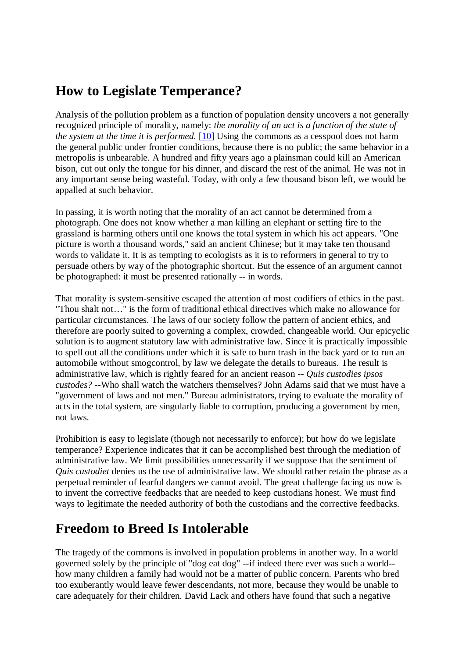### **How to Legislate Temperance?**

Analysis of the pollution problem as a function of population density uncovers a not generally recognized principle of morality, namely: *the morality of an act is a function of the state of the system at the time it is performed.* [10] Using the commons as a cesspool does not harm the general public under frontier conditions, because there is no public; the same behavior in a metropolis is unbearable. A hundred and fifty years ago a plainsman could kill an American bison, cut out only the tongue for his dinner, and discard the rest of the animal. He was not in any important sense being wasteful. Today, with only a few thousand bison left, we would be appalled at such behavior.

In passing, it is worth noting that the morality of an act cannot be determined from a photograph. One does not know whether a man killing an elephant or setting fire to the grassland is harming others until one knows the total system in which his act appears. "One picture is worth a thousand words," said an ancient Chinese; but it may take ten thousand words to validate it. It is as tempting to ecologists as it is to reformers in general to try to persuade others by way of the photographic shortcut. But the essence of an argument cannot be photographed: it must be presented rationally -- in words.

That morality is system-sensitive escaped the attention of most codifiers of ethics in the past. "Thou shalt not…" is the form of traditional ethical directives which make no allowance for particular circumstances. The laws of our society follow the pattern of ancient ethics, and therefore are poorly suited to governing a complex, crowded, changeable world. Our epicyclic solution is to augment statutory law with administrative law. Since it is practically impossible to spell out all the conditions under which it is safe to burn trash in the back yard or to run an automobile without smogcontrol, by law we delegate the details to bureaus. The result is administrative law, which is rightly feared for an ancient reason -- *Quis custodies ipsos custodes?* --Who shall watch the watchers themselves? John Adams said that we must have a "government of laws and not men." Bureau administrators, trying to evaluate the morality of acts in the total system, are singularly liable to corruption, producing a government by men, not laws.

Prohibition is easy to legislate (though not necessarily to enforce); but how do we legislate temperance? Experience indicates that it can be accomplished best through the mediation of administrative law. We limit possibilities unnecessarily if we suppose that the sentiment of *Quis custodiet* denies us the use of administrative law. We should rather retain the phrase as a perpetual reminder of fearful dangers we cannot avoid. The great challenge facing us now is to invent the corrective feedbacks that are needed to keep custodians honest. We must find ways to legitimate the needed authority of both the custodians and the corrective feedbacks.

### **Freedom to Breed Is Intolerable**

The tragedy of the commons is involved in population problems in another way. In a world governed solely by the principle of "dog eat dog" --if indeed there ever was such a world- how many children a family had would not be a matter of public concern. Parents who bred too exuberantly would leave fewer descendants, not more, because they would be unable to care adequately for their children. David Lack and others have found that such a negative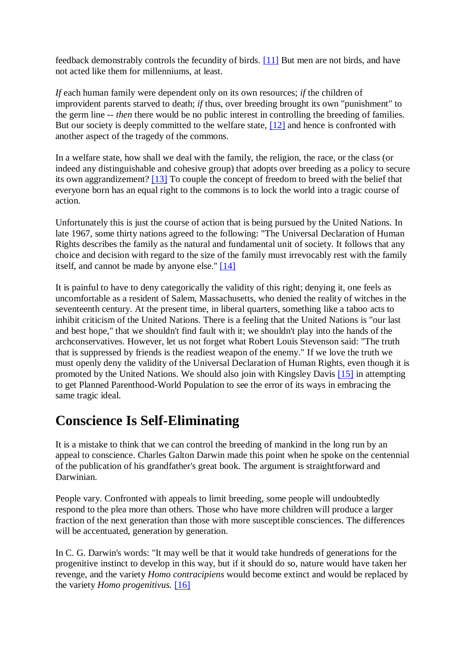feedback demonstrably controls the fecundity of birds. [11] But men are not birds, and have not acted like them for millenniums, at least.

*If* each human family were dependent only on its own resources; *if* the children of improvident parents starved to death; *if* thus, over breeding brought its own "punishment" to the germ line -- *then* there would be no public interest in controlling the breeding of families. But our society is deeply committed to the welfare state, [12] and hence is confronted with another aspect of the tragedy of the commons.

In a welfare state, how shall we deal with the family, the religion, the race, or the class (or indeed any distinguishable and cohesive group) that adopts over breeding as a policy to secure its own aggrandizement? [13] To couple the concept of freedom to breed with the belief that everyone born has an equal right to the commons is to lock the world into a tragic course of action.

Unfortunately this is just the course of action that is being pursued by the United Nations. In late 1967, some thirty nations agreed to the following: "The Universal Declaration of Human Rights describes the family as the natural and fundamental unit of society. It follows that any choice and decision with regard to the size of the family must irrevocably rest with the family itself, and cannot be made by anyone else.'' [14]

It is painful to have to deny categorically the validity of this right; denying it, one feels as uncomfortable as a resident of Salem, Massachusetts, who denied the reality of witches in the seventeenth century. At the present time, in liberal quarters, something like a taboo acts to inhibit criticism of the United Nations. There is a feeling that the United Nations is "our last and best hope," that we shouldn't find fault with it; we shouldn't play into the hands of the archconservatives. However, let us not forget what Robert Louis Stevenson said: "The truth that is suppressed by friends is the readiest weapon of the enemy." If we love the truth we must openly deny the validity of the Universal Declaration of Human Rights, even though it is promoted by the United Nations. We should also join with Kingsley Davis [15] in attempting to get Planned Parenthood-World Population to see the error of its ways in embracing the same tragic ideal.

### **Conscience Is Self-Eliminating**

It is a mistake to think that we can control the breeding of mankind in the long run by an appeal to conscience. Charles Galton Darwin made this point when he spoke on the centennial of the publication of his grandfather's great book. The argument is straightforward and Darwinian.

People vary. Confronted with appeals to limit breeding, some people will undoubtedly respond to the plea more than others. Those who have more children will produce a larger fraction of the next generation than those with more susceptible consciences. The differences will be accentuated, generation by generation.

In C. G. Darwin's words: "It may well be that it would take hundreds of generations for the progenitive instinct to develop in this way, but if it should do so, nature would have taken her revenge, and the variety *Homo contracipiens* would become extinct and would be replaced by the variety *Homo progenitivus.* [16]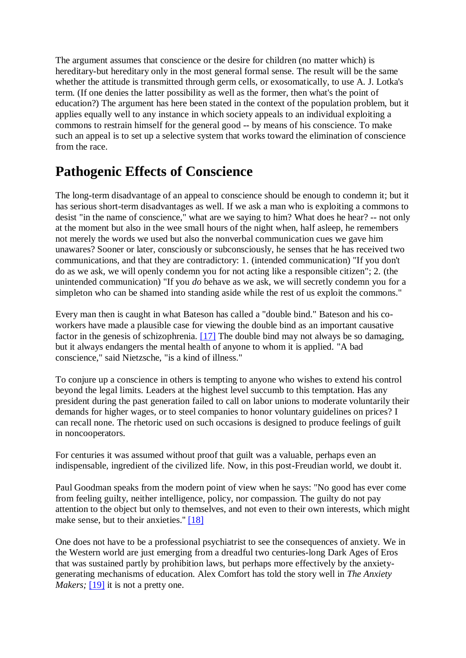The argument assumes that conscience or the desire for children (no matter which) is hereditary-but hereditary only in the most general formal sense. The result will be the same whether the attitude is transmitted through germ cells, or exosomatically, to use A. J. Lotka's term. (If one denies the latter possibility as well as the former, then what's the point of education?) The argument has here been stated in the context of the population problem, but it applies equally well to any instance in which society appeals to an individual exploiting a commons to restrain himself for the general good -- by means of his conscience. To make such an appeal is to set up a selective system that works toward the elimination of conscience from the race.

### **Pathogenic Effects of Conscience**

The long-term disadvantage of an appeal to conscience should be enough to condemn it; but it has serious short-term disadvantages as well. If we ask a man who is exploiting a commons to desist "in the name of conscience," what are we saying to him? What does he hear? -- not only at the moment but also in the wee small hours of the night when, half asleep, he remembers not merely the words we used but also the nonverbal communication cues we gave him unawares? Sooner or later, consciously or subconsciously, he senses that he has received two communications, and that they are contradictory: 1. (intended communication) "If you don't do as we ask, we will openly condemn you for not acting like a responsible citizen"; 2. (the unintended communication) "If you *do* behave as we ask, we will secretly condemn you for a simpleton who can be shamed into standing aside while the rest of us exploit the commons."

Every man then is caught in what Bateson has called a "double bind." Bateson and his coworkers have made a plausible case for viewing the double bind as an important causative factor in the genesis of schizophrenia.  $[17]$  The double bind may not always be so damaging, but it always endangers the mental health of anyone to whom it is applied. "A bad conscience," said Nietzsche, "is a kind of illness."

To conjure up a conscience in others is tempting to anyone who wishes to extend his control beyond the legal limits. Leaders at the highest level succumb to this temptation. Has any president during the past generation failed to call on labor unions to moderate voluntarily their demands for higher wages, or to steel companies to honor voluntary guidelines on prices? I can recall none. The rhetoric used on such occasions is designed to produce feelings of guilt in noncooperators.

For centuries it was assumed without proof that guilt was a valuable, perhaps even an indispensable, ingredient of the civilized life. Now, in this post-Freudian world, we doubt it.

Paul Goodman speaks from the modern point of view when he says: "No good has ever come from feeling guilty, neither intelligence, policy, nor compassion. The guilty do not pay attention to the object but only to themselves, and not even to their own interests, which might make sense, but to their anxieties." [18]

One does not have to be a professional psychiatrist to see the consequences of anxiety. We in the Western world are just emerging from a dreadful two centuries-long Dark Ages of Eros that was sustained partly by prohibition laws, but perhaps more effectively by the anxietygenerating mechanisms of education. Alex Comfort has told the story well in *The Anxiety Makers*; [19] it is not a pretty one.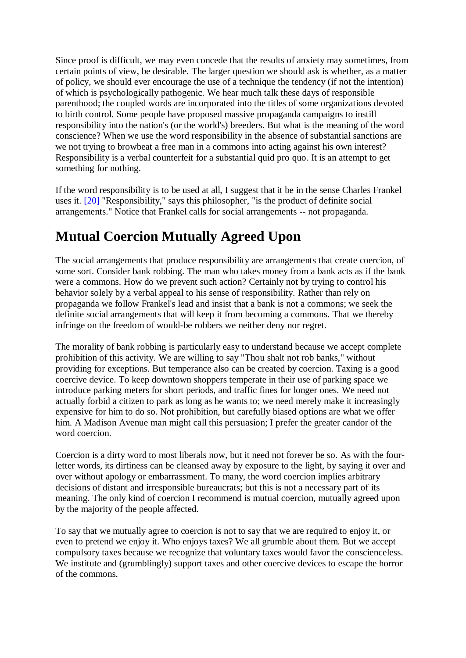Since proof is difficult, we may even concede that the results of anxiety may sometimes, from certain points of view, be desirable. The larger question we should ask is whether, as a matter of policy, we should ever encourage the use of a technique the tendency (if not the intention) of which is psychologically pathogenic. We hear much talk these days of responsible parenthood; the coupled words are incorporated into the titles of some organizations devoted to birth control. Some people have proposed massive propaganda campaigns to instill responsibility into the nation's (or the world's) breeders. But what is the meaning of the word conscience? When we use the word responsibility in the absence of substantial sanctions are we not trying to browbeat a free man in a commons into acting against his own interest? Responsibility is a verbal counterfeit for a substantial quid pro quo. It is an attempt to get something for nothing.

If the word responsibility is to be used at all, I suggest that it be in the sense Charles Frankel uses it. [20] "Responsibility," says this philosopher, "is the product of definite social arrangements." Notice that Frankel calls for social arrangements -- not propaganda.

# **Mutual Coercion Mutually Agreed Upon**

The social arrangements that produce responsibility are arrangements that create coercion, of some sort. Consider bank robbing. The man who takes money from a bank acts as if the bank were a commons. How do we prevent such action? Certainly not by trying to control his behavior solely by a verbal appeal to his sense of responsibility. Rather than rely on propaganda we follow Frankel's lead and insist that a bank is not a commons; we seek the definite social arrangements that will keep it from becoming a commons. That we thereby infringe on the freedom of would-be robbers we neither deny nor regret.

The morality of bank robbing is particularly easy to understand because we accept complete prohibition of this activity. We are willing to say "Thou shalt not rob banks," without providing for exceptions. But temperance also can be created by coercion. Taxing is a good coercive device. To keep downtown shoppers temperate in their use of parking space we introduce parking meters for short periods, and traffic fines for longer ones. We need not actually forbid a citizen to park as long as he wants to; we need merely make it increasingly expensive for him to do so. Not prohibition, but carefully biased options are what we offer him. A Madison Avenue man might call this persuasion; I prefer the greater candor of the word coercion.

Coercion is a dirty word to most liberals now, but it need not forever be so. As with the fourletter words, its dirtiness can be cleansed away by exposure to the light, by saying it over and over without apology or embarrassment. To many, the word coercion implies arbitrary decisions of distant and irresponsible bureaucrats; but this is not a necessary part of its meaning. The only kind of coercion I recommend is mutual coercion, mutually agreed upon by the majority of the people affected.

To say that we mutually agree to coercion is not to say that we are required to enjoy it, or even to pretend we enjoy it. Who enjoys taxes? We all grumble about them. But we accept compulsory taxes because we recognize that voluntary taxes would favor the conscienceless. We institute and (grumblingly) support taxes and other coercive devices to escape the horror of the commons.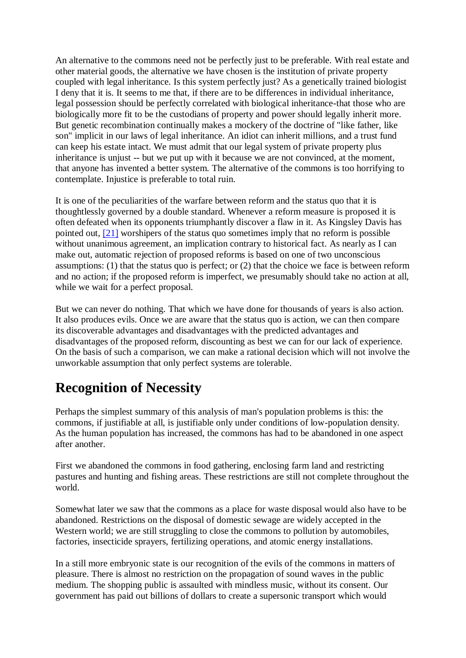An alternative to the commons need not be perfectly just to be preferable. With real estate and other material goods, the alternative we have chosen is the institution of private property coupled with legal inheritance. Is this system perfectly just? As a genetically trained biologist I deny that it is. It seems to me that, if there are to be differences in individual inheritance, legal possession should be perfectly correlated with biological inheritance-that those who are biologically more fit to be the custodians of property and power should legally inherit more. But genetic recombination continually makes a mockery of the doctrine of "like father, like son" implicit in our laws of legal inheritance. An idiot can inherit millions, and a trust fund can keep his estate intact. We must admit that our legal system of private property plus inheritance is unjust -- but we put up with it because we are not convinced, at the moment, that anyone has invented a better system. The alternative of the commons is too horrifying to contemplate. Injustice is preferable to total ruin.

It is one of the peculiarities of the warfare between reform and the status quo that it is thoughtlessly governed by a double standard. Whenever a reform measure is proposed it is often defeated when its opponents triumphantly discover a flaw in it. As Kingsley Davis has pointed out, [21] worshipers of the status quo sometimes imply that no reform is possible without unanimous agreement, an implication contrary to historical fact. As nearly as I can make out, automatic rejection of proposed reforms is based on one of two unconscious assumptions: (1) that the status quo is perfect; or (2) that the choice we face is between reform and no action; if the proposed reform is imperfect, we presumably should take no action at all, while we wait for a perfect proposal.

But we can never do nothing. That which we have done for thousands of years is also action. It also produces evils. Once we are aware that the status quo is action, we can then compare its discoverable advantages and disadvantages with the predicted advantages and disadvantages of the proposed reform, discounting as best we can for our lack of experience. On the basis of such a comparison, we can make a rational decision which will not involve the unworkable assumption that only perfect systems are tolerable.

### **Recognition of Necessity**

Perhaps the simplest summary of this analysis of man's population problems is this: the commons, if justifiable at all, is justifiable only under conditions of low-population density. As the human population has increased, the commons has had to be abandoned in one aspect after another.

First we abandoned the commons in food gathering, enclosing farm land and restricting pastures and hunting and fishing areas. These restrictions are still not complete throughout the world.

Somewhat later we saw that the commons as a place for waste disposal would also have to be abandoned. Restrictions on the disposal of domestic sewage are widely accepted in the Western world; we are still struggling to close the commons to pollution by automobiles, factories, insecticide sprayers, fertilizing operations, and atomic energy installations.

In a still more embryonic state is our recognition of the evils of the commons in matters of pleasure. There is almost no restriction on the propagation of sound waves in the public medium. The shopping public is assaulted with mindless music, without its consent. Our government has paid out billions of dollars to create a supersonic transport which would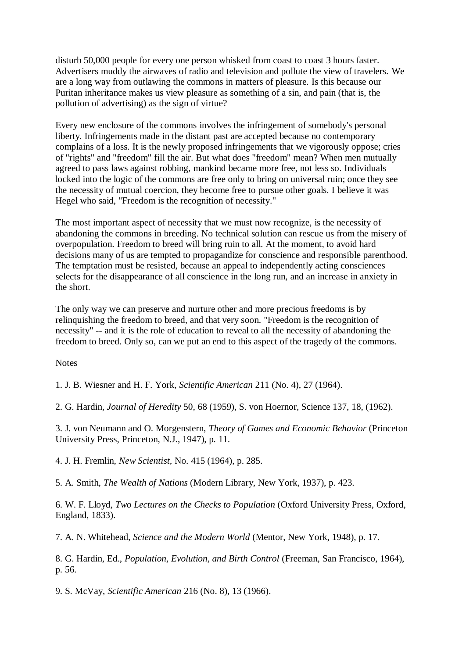disturb 50,000 people for every one person whisked from coast to coast 3 hours faster. Advertisers muddy the airwaves of radio and television and pollute the view of travelers. We are a long way from outlawing the commons in matters of pleasure. Is this because our Puritan inheritance makes us view pleasure as something of a sin, and pain (that is, the pollution of advertising) as the sign of virtue?

Every new enclosure of the commons involves the infringement of somebody's personal liberty. Infringements made in the distant past are accepted because no contemporary complains of a loss. It is the newly proposed infringements that we vigorously oppose; cries of "rights" and "freedom" fill the air. But what does "freedom" mean? When men mutually agreed to pass laws against robbing, mankind became more free, not less so. Individuals locked into the logic of the commons are free only to bring on universal ruin; once they see the necessity of mutual coercion, they become free to pursue other goals. I believe it was Hegel who said, "Freedom is the recognition of necessity."

The most important aspect of necessity that we must now recognize, is the necessity of abandoning the commons in breeding. No technical solution can rescue us from the misery of overpopulation. Freedom to breed will bring ruin to all. At the moment, to avoid hard decisions many of us are tempted to propagandize for conscience and responsible parenthood. The temptation must be resisted, because an appeal to independently acting consciences selects for the disappearance of all conscience in the long run, and an increase in anxiety in the short.

The only way we can preserve and nurture other and more precious freedoms is by relinquishing the freedom to breed, and that very soon. "Freedom is the recognition of necessity" -- and it is the role of education to reveal to all the necessity of abandoning the freedom to breed. Only so, can we put an end to this aspect of the tragedy of the commons.

**Notes** 

1. J. B. Wiesner and H. F. York, *Scientific American* 211 (No. 4), 27 (1964).

2. G. Hardin, *Journal of Heredity* 50, 68 (1959), S. von Hoernor, Science 137, 18, (1962).

3. J. von Neumann and O. Morgenstern, *Theory of Games and Economic Behavior* (Princeton University Press, Princeton, N.J., 1947), p. 11.

4. J. H. Fremlin, *New Scientist,* No. 415 (1964), p. 285.

5. A. Smith, *The Wealth of Nations* (Modern Library, New York, 1937), p. 423.

6. W. F. Lloyd, *Two Lectures on the Checks to Population* (Oxford University Press, Oxford, England, 1833).

7. A. N. Whitehead, *Science and the Modern World* (Mentor, New York, 1948), p. 17.

8. G. Hardin, Ed., *Population, Evolution, and Birth Control* (Freeman, San Francisco, 1964), p. 56.

9. S. McVay, *Scientific American* 216 (No. 8), 13 (1966).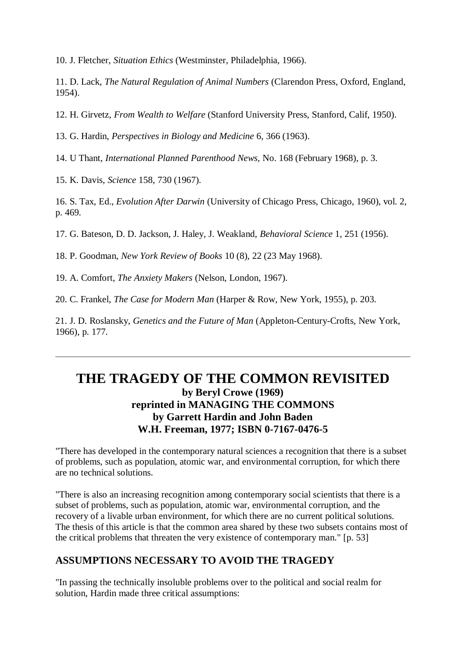10. J. Fletcher, *Situation Ethics* (Westminster, Philadelphia, 1966).

11. D. Lack, *The Natural Regulation of Animal Numbers* (Clarendon Press, Oxford, England, 1954).

12. H. Girvetz, *From Wealth to Welfare* (Stanford University Press, Stanford, Calif, 1950).

13. G. Hardin, *Perspectives in Biology and Medicine* 6, 366 (1963).

14. U Thant, *International Planned Parenthood News,* No. 168 (February 1968), p. 3.

15. K. Davis, *Science* 158, 730 (1967).

16. S. Tax, Ed., *Evolution After Darwin* (University of Chicago Press, Chicago, 1960), vol. 2, p. 469.

17. G. Bateson, D. D. Jackson, J. Haley, J. Weakland, *Behavioral Science* 1, 251 (1956).

18. P. Goodman, *New York Review of Books* 10 (8), 22 (23 May 1968).

19. A. Comfort, *The Anxiety Makers* (Nelson, London, 1967).

20. C. Frankel, *The Case for Modern Man* (Harper & Row, New York, 1955), p. 203.

21. J. D. Roslansky, *Genetics and the Future of Man* (Appleton-Century-Crofts, New York, 1966), p. 177.

#### **THE TRAGEDY OF THE COMMON REVISITED by Beryl Crowe (1969)**

#### **reprinted in MANAGING THE COMMONS by Garrett Hardin and John Baden W.H. Freeman, 1977; ISBN 0-7167-0476-5**

"There has developed in the contemporary natural sciences a recognition that there is a subset of problems, such as population, atomic war, and environmental corruption, for which there are no technical solutions.

"There is also an increasing recognition among contemporary social scientists that there is a subset of problems, such as population, atomic war, environmental corruption, and the recovery of a livable urban environment, for which there are no current political solutions. The thesis of this article is that the common area shared by these two subsets contains most of the critical problems that threaten the very existence of contemporary man." [p. 53]

#### **ASSUMPTIONS NECESSARY TO AVOID THE TRAGEDY**

"In passing the technically insoluble problems over to the political and social realm for solution, Hardin made three critical assumptions: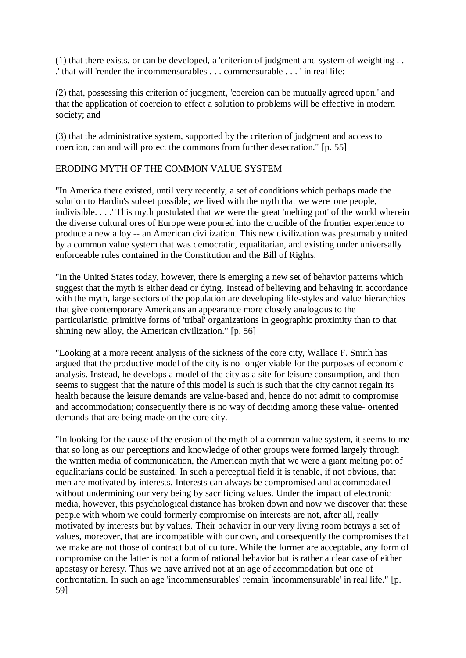(1) that there exists, or can be developed, a 'criterion of judgment and system of weighting . . .' that will 'render the incommensurables . . . commensurable . . . ' in real life;

(2) that, possessing this criterion of judgment, 'coercion can be mutually agreed upon,' and that the application of coercion to effect a solution to problems will be effective in modern society; and

(3) that the administrative system, supported by the criterion of judgment and access to coercion, can and will protect the commons from further desecration." [p. 55]

#### ERODING MYTH OF THE COMMON VALUE SYSTEM

"In America there existed, until very recently, a set of conditions which perhaps made the solution to Hardin's subset possible; we lived with the myth that we were 'one people, indivisible. . . .' This myth postulated that we were the great 'melting pot' of the world wherein the diverse cultural ores of Europe were poured into the crucible of the frontier experience to produce a new alloy -- an American civilization. This new civilization was presumably united by a common value system that was democratic, equalitarian, and existing under universally enforceable rules contained in the Constitution and the Bill of Rights.

"In the United States today, however, there is emerging a new set of behavior patterns which suggest that the myth is either dead or dying. Instead of believing and behaving in accordance with the myth, large sectors of the population are developing life-styles and value hierarchies that give contemporary Americans an appearance more closely analogous to the particularistic, primitive forms of 'tribal' organizations in geographic proximity than to that shining new alloy, the American civilization." [p. 56]

"Looking at a more recent analysis of the sickness of the core city, Wallace F. Smith has argued that the productive model of the city is no longer viable for the purposes of economic analysis. Instead, he develops a model of the city as a site for leisure consumption, and then seems to suggest that the nature of this model is such is such that the city cannot regain its health because the leisure demands are value-based and, hence do not admit to compromise and accommodation; consequently there is no way of deciding among these value- oriented demands that are being made on the core city.

"In looking for the cause of the erosion of the myth of a common value system, it seems to me that so long as our perceptions and knowledge of other groups were formed largely through the written media of communication, the American myth that we were a giant melting pot of equalitarians could be sustained. In such a perceptual field it is tenable, if not obvious, that men are motivated by interests. Interests can always be compromised and accommodated without undermining our very being by sacrificing values. Under the impact of electronic media, however, this psychological distance has broken down and now we discover that these people with whom we could formerly compromise on interests are not, after all, really motivated by interests but by values. Their behavior in our very living room betrays a set of values, moreover, that are incompatible with our own, and consequently the compromises that we make are not those of contract but of culture. While the former are acceptable, any form of compromise on the latter is not a form of rational behavior but is rather a clear case of either apostasy or heresy. Thus we have arrived not at an age of accommodation but one of confrontation. In such an age 'incommensurables' remain 'incommensurable' in real life." [p. 59]